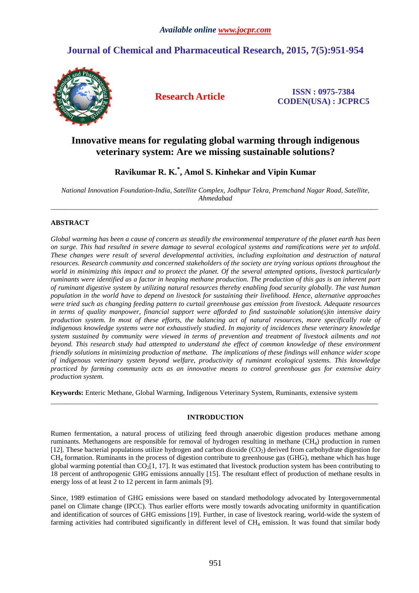# **Journal of Chemical and Pharmaceutical Research, 2015, 7(5):951-954**



**Research Article ISSN : 0975-7384 CODEN(USA) : JCPRC5**

# **Innovative means for regulating global warming through indigenous veterinary system: Are we missing sustainable solutions?**

**Ravikumar R. K.\* , Amol S. Kinhekar and Vipin Kumar** 

*National Innovation Foundation-India, Satellite Complex, Jodhpur Tekra, Premchand Nagar Road, Satellite, Ahmedabad*  \_\_\_\_\_\_\_\_\_\_\_\_\_\_\_\_\_\_\_\_\_\_\_\_\_\_\_\_\_\_\_\_\_\_\_\_\_\_\_\_\_\_\_\_\_\_\_\_\_\_\_\_\_\_\_\_\_\_\_\_\_\_\_\_\_\_\_\_\_\_\_\_\_\_\_\_\_\_\_\_\_\_\_\_\_\_\_\_\_\_\_\_\_

# **ABSTRACT**

*Global warming has been a cause of concern as steadily the environmental temperature of the planet earth has been on surge. This had resulted in severe damage to several ecological systems and ramifications were yet to unfold. These changes were result of several developmental activities, including exploitation and destruction of natural resources. Research community and concerned stakeholders of the society are trying various options throughout the world in minimizing this impact and to protect the planet. Of the several attempted options, livestock particularly ruminants were identified as a factor in heaping methane production. The production of this gas is an inherent part of ruminant digestive system by utilizing natural resources thereby enabling food security globally. The vast human population in the world have to depend on livestock for sustaining their livelihood. Hence, alternative approaches were tried such as changing feeding pattern to curtail greenhouse gas emission from livestock. Adequate resources in terms of quality manpower, financial support were afforded to find sustainable solution(s)in intensive dairy production system. In most of these efforts, the balancing act of natural resources, more specifically role of indigenous knowledge systems were not exhaustively studied. In majority of incidences these veterinary knowledge system sustained by community were viewed in terms of prevention and treatment of livestock ailments and not beyond. This research study had attempted to understand the effect of common knowledge of these environment friendly solutions in minimizing production of methane. The implications of these findings will enhance wider scope of indigenous veterinary system beyond welfare, productivity of ruminant ecological systems. This knowledge practiced by farming community acts as an innovative means to control greenhouse gas for extensive dairy production system.* 

**Keywords:** Enteric Methane, Global Warming, Indigenous Veterinary System, Ruminants, extensive system

# **INTRODUCTION**

\_\_\_\_\_\_\_\_\_\_\_\_\_\_\_\_\_\_\_\_\_\_\_\_\_\_\_\_\_\_\_\_\_\_\_\_\_\_\_\_\_\_\_\_\_\_\_\_\_\_\_\_\_\_\_\_\_\_\_\_\_\_\_\_\_\_\_\_\_\_\_\_\_\_\_\_\_\_\_\_\_\_\_\_\_\_\_\_\_\_\_\_\_

Rumen fermentation, a natural process of utilizing feed through anaerobic digestion produces methane among ruminants. Methanogens are responsible for removal of hydrogen resulting in methane  $(CH_4)$  production in rumen [12]. These bacterial populations utilize hydrogen and carbon dioxide  $(CO<sub>2</sub>)$  derived from carbohydrate digestion for CH4 formation. Ruminants in the process of digestion contribute to greenhouse gas (GHG), methane which has huge global warming potential than  $CO<sub>2</sub>[1, 17]$ . It was estimated that livestock production system has been contributing to 18 percent of anthropogenic GHG emissions annually [15]. The resultant effect of production of methane results in energy loss of at least 2 to 12 percent in farm animals [9].

Since, 1989 estimation of GHG emissions were based on standard methodology advocated by Intergovernmental panel on Climate change (IPCC). Thus earlier efforts were mostly towards advocating uniformity in quantification and identification of sources of GHG emissions [19]. Further, in case of livestock rearing, world-wide the system of farming activities had contributed significantly in different level of CH<sub>4</sub> emission. It was found that similar body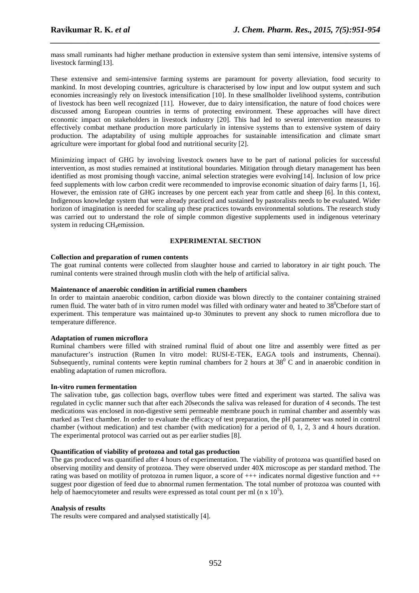mass small ruminants had higher methane production in extensive system than semi intensive, intensive systems of livestock farming[13].

*\_\_\_\_\_\_\_\_\_\_\_\_\_\_\_\_\_\_\_\_\_\_\_\_\_\_\_\_\_\_\_\_\_\_\_\_\_\_\_\_\_\_\_\_\_\_\_\_\_\_\_\_\_\_\_\_\_\_\_\_\_\_\_\_\_\_\_\_\_\_\_\_\_\_\_\_\_\_*

These extensive and semi-intensive farming systems are paramount for poverty alleviation, food security to mankind. In most developing countries, agriculture is characterised by low input and low output system and such economies increasingly rely on livestock intensification [10]. In these smallholder livelihood systems, contribution of livestock has been well recognized [11]. However, due to dairy intensification, the nature of food choices were discussed among European countries in terms of protecting environment. These approaches will have direct economic impact on stakeholders in livestock industry [20]. This had led to several intervention measures to effectively combat methane production more particularly in intensive systems than to extensive system of dairy production. The adaptability of using multiple approaches for sustainable intensification and climate smart agriculture were important for global food and nutritional security [2].

Minimizing impact of GHG by involving livestock owners have to be part of national policies for successful intervention, as most studies remained at institutional boundaries. Mitigation through dietary management has been identified as most promising though vaccine, animal selection strategies were evolving[14]. Inclusion of low price feed supplements with low carbon credit were recommended to improvise economic situation of dairy farms [1, 16]. However, the emission rate of GHG increases by one percent each year from cattle and sheep [6]. In this context, Indigenous knowledge system that were already practiced and sustained by pastoralists needs to be evaluated. Wider horizon of imagination is needed for scaling up these practices towards environmental solutions. The research study was carried out to understand the role of simple common digestive supplements used in indigenous veterinary system in reducing CH<sub>4</sub>emission.

# **EXPERIMENTAL SECTION**

#### **Collection and preparation of rumen contents**

The goat ruminal contents were collected from slaughter house and carried to laboratory in air tight pouch. The ruminal contents were strained through muslin cloth with the help of artificial saliva.

### **Maintenance of anaerobic condition in artificial rumen chambers**

In order to maintain anaerobic condition, carbon dioxide was blown directly to the container containing strained rumen fluid. The water bath of in vitro rumen model was filled with ordinary water and heated to 38<sup>0</sup>Cbefore start of experiment. This temperature was maintained up-to 30minutes to prevent any shock to rumen microflora due to temperature difference.

#### **Adaptation of rumen microflora**

Ruminal chambers were filled with strained ruminal fluid of about one litre and assembly were fitted as per manufacturer's instruction (Rumen In vitro model: RUSI-E-TEK, EAGA tools and instruments, Chennai). Subsequently, ruminal contents were keptin ruminal chambers for 2 hours at  $38^{\circ}$  C and in anaerobic condition in enabling adaptation of rumen microflora.

#### **In-vitro rumen fermentation**

The salivation tube, gas collection bags, overflow tubes were fitted and experiment was started. The saliva was regulated in cyclic manner such that after each 20seconds the saliva was released for duration of 4 seconds. The test medications was enclosed in non-digestive semi permeable membrane pouch in ruminal chamber and assembly was marked as Test chamber. In order to evaluate the efficacy of test preparation, the pH parameter was noted in control chamber (without medication) and test chamber (with medication) for a period of 0, 1, 2, 3 and 4 hours duration. The experimental protocol was carried out as per earlier studies [8].

#### **Quantification of viability of protozoa and total gas production**

The gas produced was quantified after 4 hours of experimentation. The viability of protozoa was quantified based on observing motility and density of protozoa. They were observed under 40X microscope as per standard method. The rating was based on motility of protozoa in rumen liquor, a score of +++ indicates normal digestive function and ++ suggest poor digestion of feed due to abnormal rumen fermentation. The total number of protozoa was counted with help of haemocytometer and results were expressed as total count per ml (n  $\rm x$  10<sup>5</sup>).

#### **Analysis of results**

The results were compared and analysed statistically [4].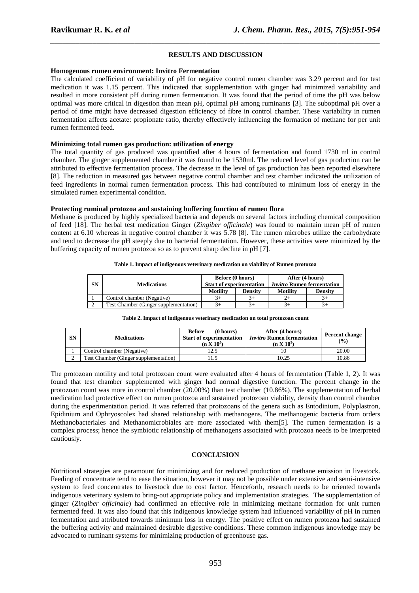# **RESULTS AND DISCUSSION**

*\_\_\_\_\_\_\_\_\_\_\_\_\_\_\_\_\_\_\_\_\_\_\_\_\_\_\_\_\_\_\_\_\_\_\_\_\_\_\_\_\_\_\_\_\_\_\_\_\_\_\_\_\_\_\_\_\_\_\_\_\_\_\_\_\_\_\_\_\_\_\_\_\_\_\_\_\_\_*

#### **Homogenous rumen environment: Invitro Fermentation**

The calculated coefficient of variability of pH for negative control rumen chamber was 3.29 percent and for test medication it was 1.15 percent. This indicated that supplementation with ginger had minimized variability and resulted in more consistent pH during rumen fermentation. It was found that the period of time the pH was below optimal was more critical in digestion than mean pH, optimal pH among ruminants [3]. The suboptimal pH over a period of time might have decreased digestion efficiency of fibre in control chamber. These variability in rumen fermentation affects acetate: propionate ratio, thereby effectively influencing the formation of methane for per unit rumen fermented feed.

### **Minimizing total rumen gas production: utilization of energy**

The total quantity of gas produced was quantified after 4 hours of fermentation and found 1730 ml in control chamber. The ginger supplemented chamber it was found to be 1530ml. The reduced level of gas production can be attributed to effective fermentation process. The decrease in the level of gas production has been reported elsewhere [8]. The reduction in measured gas between negative control chamber and test chamber indicated the utilization of feed ingredients in normal rumen fermentation process. This had contributed to minimum loss of energy in the simulated rumen experimental condition.

# **Protecting ruminal protozoa and sustaining buffering function of rumen flora**

Methane is produced by highly specialized bacteria and depends on several factors including chemical composition of feed [18]. The herbal test medication Ginger (*Zingiber officinale*) was found to maintain mean pH of rumen content at 6.10 whereas in negative control chamber it was 5.78 [8]. The rumen microbes utilize the carbohydrate and tend to decrease the pH steeply due to bacterial fermentation. However, these activities were minimized by the buffering capacity of rumen protozoa so as to prevent sharp decline in pH [7].

#### **Table 1. Impact of indigenous veterinary medication on viability of Rumen protozoa**

| <b>SN</b> | <b>Medications</b>                    | <b>Before</b> (0 hours)<br><b>Start of experimentation</b> |         | After (4 hours)<br><b>Invitro Rumen fermentation</b> |                |
|-----------|---------------------------------------|------------------------------------------------------------|---------|------------------------------------------------------|----------------|
|           |                                       | <b>Motility</b>                                            | Density | <b>Motility</b>                                      | <b>Density</b> |
|           | Control chamber (Negative)            | 3+                                                         | 5+      |                                                      |                |
|           | Test Chamber (Ginger supplementation) | $3+$                                                       | $+$     |                                                      |                |

| <b>SN</b> | <b>Medications</b>                    | (0 hours)<br><b>Before</b><br><b>Start of experimentation</b><br>(n X $10^5$ ) | After (4 hours)<br><i>Invitro</i> Rumen fermentation<br>(n $X$ 10 <sup>5</sup> ) | Percent change<br>$\frac{9}{6}$ |
|-----------|---------------------------------------|--------------------------------------------------------------------------------|----------------------------------------------------------------------------------|---------------------------------|
|           | Control chamber (Negative)            | 12.5                                                                           |                                                                                  | 20.00                           |
|           | Test Chamber (Ginger supplementation) |                                                                                | 10.25                                                                            | 10.86                           |

**Table 2. Impact of indigenous veterinary medication on total protozoan count** 

The protozoan motility and total protozoan count were evaluated after 4 hours of fermentation (Table 1, 2). It was found that test chamber supplemented with ginger had normal digestive function. The percent change in the protozoan count was more in control chamber (20.00%) than test chamber (10.86%). The supplementation of herbal medication had protective effect on rumen protozoa and sustained protozoan viability, density than control chamber during the experimentation period. It was referred that protozoans of the genera such as Entodinium, Polyplastron, Epidinium and Ophryoscolex had shared relationship with methanogens. The methanogenic bacteria from orders Methanobacteriales and Methanomicrobiales are more associated with them[5]. The rumen fermentation is a complex process; hence the symbiotic relationship of methanogens associated with protozoa needs to be interpreted cautiously.

# **CONCLUSION**

Nutritional strategies are paramount for minimizing and for reduced production of methane emission in livestock. Feeding of concentrate tend to ease the situation, however it may not be possible under extensive and semi-intensive system to feed concentrates to livestock due to cost factor. Henceforth, research needs to be oriented towards indigenous veterinary system to bring-out appropriate policy and implementation strategies. The supplementation of ginger (*Zingiber officinale*) had confirmed an effective role in minimizing methane formation for unit rumen fermented feed. It was also found that this indigenous knowledge system had influenced variability of pH in rumen fermentation and attributed towards minimum loss in energy. The positive effect on rumen protozoa had sustained the buffering activity and maintained desirable digestive conditions. These common indigenous knowledge may be advocated to ruminant systems for minimizing production of greenhouse gas.